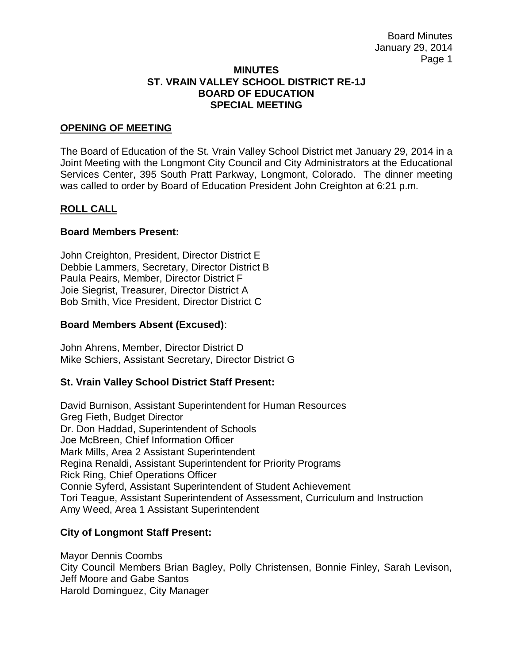#### **MINUTES ST. VRAIN VALLEY SCHOOL DISTRICT RE-1J BOARD OF EDUCATION SPECIAL MEETING**

#### **OPENING OF MEETING**

The Board of Education of the St. Vrain Valley School District met January 29, 2014 in a Joint Meeting with the Longmont City Council and City Administrators at the Educational Services Center, 395 South Pratt Parkway, Longmont, Colorado. The dinner meeting was called to order by Board of Education President John Creighton at 6:21 p.m.

### **ROLL CALL**

#### **Board Members Present:**

John Creighton, President, Director District E Debbie Lammers, Secretary, Director District B Paula Peairs, Member, Director District F Joie Siegrist, Treasurer, Director District A Bob Smith, Vice President, Director District C

#### **Board Members Absent (Excused)**:

John Ahrens, Member, Director District D Mike Schiers, Assistant Secretary, Director District G

### **St. Vrain Valley School District Staff Present:**

David Burnison, Assistant Superintendent for Human Resources Greg Fieth, Budget Director Dr. Don Haddad, Superintendent of Schools Joe McBreen, Chief Information Officer Mark Mills, Area 2 Assistant Superintendent Regina Renaldi, Assistant Superintendent for Priority Programs Rick Ring, Chief Operations Officer Connie Syferd, Assistant Superintendent of Student Achievement Tori Teague, Assistant Superintendent of Assessment, Curriculum and Instruction Amy Weed, Area 1 Assistant Superintendent

### **City of Longmont Staff Present:**

Mayor Dennis Coombs City Council Members Brian Bagley, Polly Christensen, Bonnie Finley, Sarah Levison, Jeff Moore and Gabe Santos Harold Dominguez, City Manager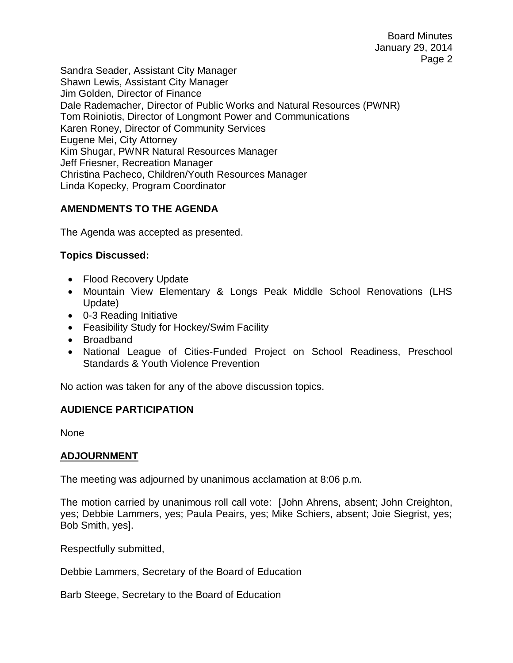Board Minutes January 29, 2014 Page 2

Sandra Seader, Assistant City Manager Shawn Lewis, Assistant City Manager Jim Golden, Director of Finance Dale Rademacher, Director of Public Works and Natural Resources (PWNR) Tom Roiniotis, Director of Longmont Power and Communications Karen Roney, Director of Community Services Eugene Mei, City Attorney Kim Shugar, PWNR Natural Resources Manager Jeff Friesner, Recreation Manager Christina Pacheco, Children/Youth Resources Manager Linda Kopecky, Program Coordinator

# **AMENDMENTS TO THE AGENDA**

The Agenda was accepted as presented.

# **Topics Discussed:**

- Flood Recovery Update
- Mountain View Elementary & Longs Peak Middle School Renovations (LHS Update)
- 0-3 Reading Initiative
- Feasibility Study for Hockey/Swim Facility
- Broadband
- National League of Cities-Funded Project on School Readiness, Preschool Standards & Youth Violence Prevention

No action was taken for any of the above discussion topics.

# **AUDIENCE PARTICIPATION**

None

### **ADJOURNMENT**

The meeting was adjourned by unanimous acclamation at 8:06 p.m.

The motion carried by unanimous roll call vote: [John Ahrens, absent; John Creighton, yes; Debbie Lammers, yes; Paula Peairs, yes; Mike Schiers, absent; Joie Siegrist, yes; Bob Smith, yes].

Respectfully submitted,

Debbie Lammers, Secretary of the Board of Education

Barb Steege, Secretary to the Board of Education